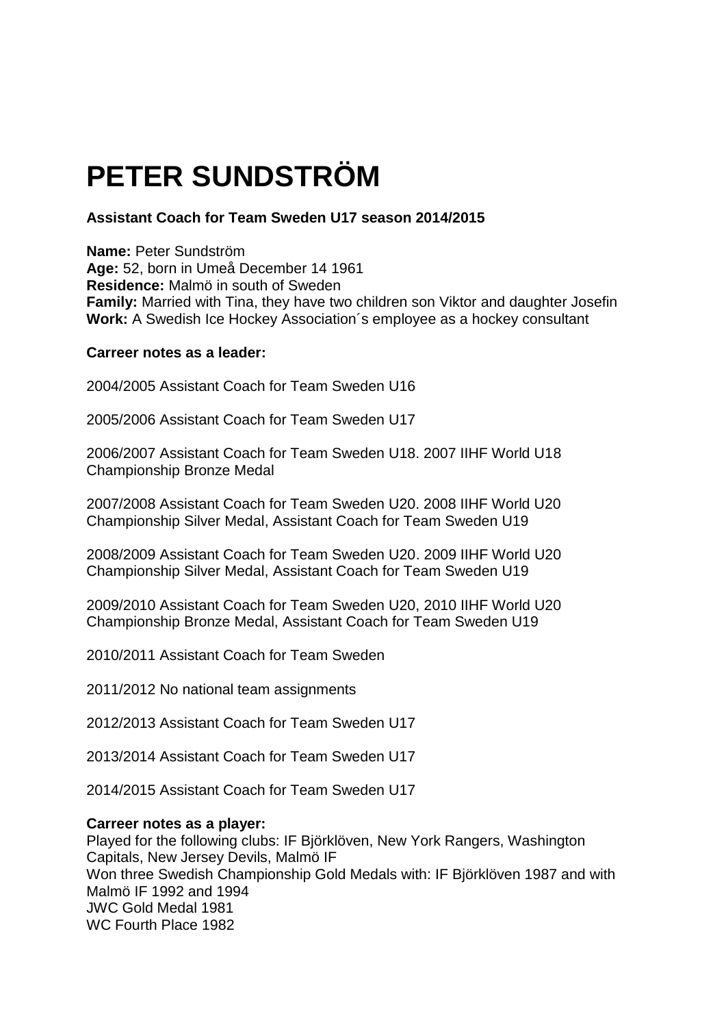# **PETER SUNDSTRÖM**

# **Assistant Coach for Team Sweden U17 season 2014/2015**

**Name:** Peter Sundström **Age:** 52, born in Umeå December 14 1961 **Residence:** Malmö in south of Sweden **Family:** Married with Tina, they have two children son Viktor and daughter Josefin **Work:** A Swedish Ice Hockey Association´s employee as a hockey consultant

#### **Carreer notes as a leader:**

2004/2005 Assistant Coach for Team Sweden U16

2005/2006 Assistant Coach for Team Sweden U17

2006/2007 Assistant Coach for Team Sweden U18. 2007 IIHF World U18 Championship Bronze Medal

2007/2008 Assistant Coach for Team Sweden U20. 2008 IIHF World U20 Championship Silver Medal, Assistant Coach for Team Sweden U19

2008/2009 Assistant Coach for Team Sweden U20. 2009 IIHF World U20 Championship Silver Medal, Assistant Coach for Team Sweden U19

2009/2010 Assistant Coach for Team Sweden U20, 2010 IIHF World U20 Championship Bronze Medal, Assistant Coach for Team Sweden U19

2010/2011 Assistant Coach for Team Sweden

2011/2012 No national team assignments

2012/2013 Assistant Coach for Team Sweden U17

2013/2014 Assistant Coach for Team Sweden U17

2014/2015 Assistant Coach for Team Sweden U17

#### **Carreer notes as a player:**

Played for the following clubs: IF Björklöven, New York Rangers, Washington Capitals, New Jersey Devils, Malmö IF Won three Swedish Championship Gold Medals with: IF Björklöven 1987 and with Malmö IF 1992 and 1994 JWC Gold Medal 1981 WC Fourth Place 1982